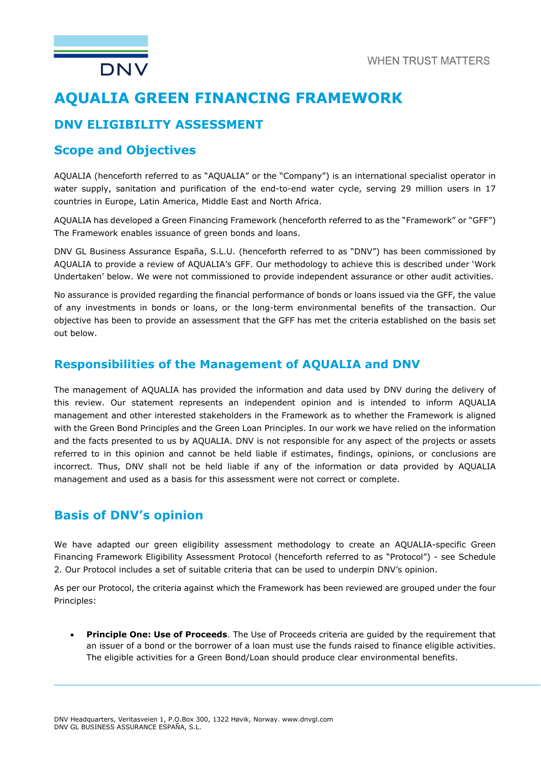

# **AQUALIA GREEN FINANCING FRAMEWORK**

## **DNV ELIGIBILITY ASSESSMENT**

### **Scope and Objectives**

AQUALIA (henceforth referred to as "AQUALIA" or the "Company") is an international specialist operator in water supply, sanitation and purification of the end-to-end water cycle, serving 29 million users in 17 countries in Europe, Latin America, Middle East and North Africa.

AQUALIA has developed a Green Financing Framework (henceforth referred to as the "Framework" or "GFF") The Framework enables issuance of green bonds and loans.

DNV GL Business Assurance España, S.L.U. (henceforth referred to as "DNV") has been commissioned by AQUALIA to provide a review of AQUALIA's GFF. Our methodology to achieve this is described under 'Work Undertaken' below. We were not commissioned to provide independent assurance or other audit activities.

No assurance is provided regarding the financial performance of bonds or loans issued via the GFF, the value of any investments in bonds or loans, or the long-term environmental benefits of the transaction. Our objective has been to provide an assessment that the GFF has met the criteria established on the basis set out below.

### **Responsibilities of the Management of AQUALIA and DNV**

The management of AQUALIA has provided the information and data used by DNV during the delivery of this review. Our statement represents an independent opinion and is intended to inform AQUALIA management and other interested stakeholders in the Framework as to whether the Framework is aligned with the Green Bond Principles and the Green Loan Principles. In our work we have relied on the information and the facts presented to us by AQUALIA. DNV is not responsible for any aspect of the projects or assets referred to in this opinion and cannot be held liable if estimates, findings, opinions, or conclusions are incorrect. Thus, DNV shall not be held liable if any of the information or data provided by AQUALIA management and used as a basis for this assessment were not correct or complete.

## **Basis of DNV's opinion**

We have adapted our green eligibility assessment methodology to create an AQUALIA-specific Green Financing Framework Eligibility Assessment Protocol (henceforth referred to as "Protocol") - see Schedule 2. Our Protocol includes a set of suitable criteria that can be used to underpin DNV's opinion.

As per our Protocol, the criteria against which the Framework has been reviewed are grouped under the four Principles:

 **Principle One: Use of Proceeds**. The Use of Proceeds criteria are guided by the requirement that an issuer of a bond or the borrower of a loan must use the funds raised to finance eligible activities. The eligible activities for a Green Bond/Loan should produce clear environmental benefits.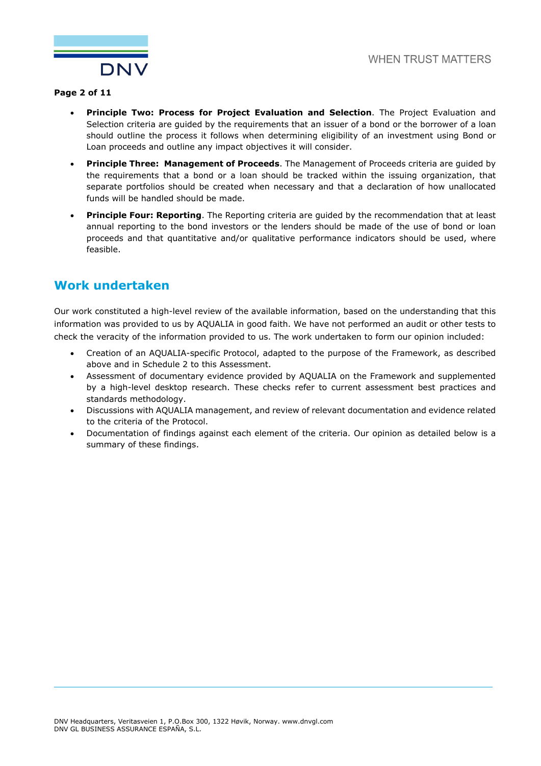

#### **Page 2 of 11**

- **Principle Two: Process for Project Evaluation and Selection**. The Project Evaluation and Selection criteria are guided by the requirements that an issuer of a bond or the borrower of a loan should outline the process it follows when determining eligibility of an investment using Bond or Loan proceeds and outline any impact objectives it will consider.
- **Principle Three: Management of Proceeds**. The Management of Proceeds criteria are guided by the requirements that a bond or a loan should be tracked within the issuing organization, that separate portfolios should be created when necessary and that a declaration of how unallocated funds will be handled should be made.
- **Principle Four: Reporting**. The Reporting criteria are guided by the recommendation that at least annual reporting to the bond investors or the lenders should be made of the use of bond or loan proceeds and that quantitative and/or qualitative performance indicators should be used, where feasible.

## **Work undertaken**

Our work constituted a high-level review of the available information, based on the understanding that this information was provided to us by AQUALIA in good faith. We have not performed an audit or other tests to check the veracity of the information provided to us. The work undertaken to form our opinion included:

- Creation of an AQUALIA-specific Protocol, adapted to the purpose of the Framework, as described above and in Schedule 2 to this Assessment.
- Assessment of documentary evidence provided by AQUALIA on the Framework and supplemented by a high-level desktop research. These checks refer to current assessment best practices and standards methodology.
- Discussions with AQUALIA management, and review of relevant documentation and evidence related to the criteria of the Protocol.
- Documentation of findings against each element of the criteria. Our opinion as detailed below is a summary of these findings.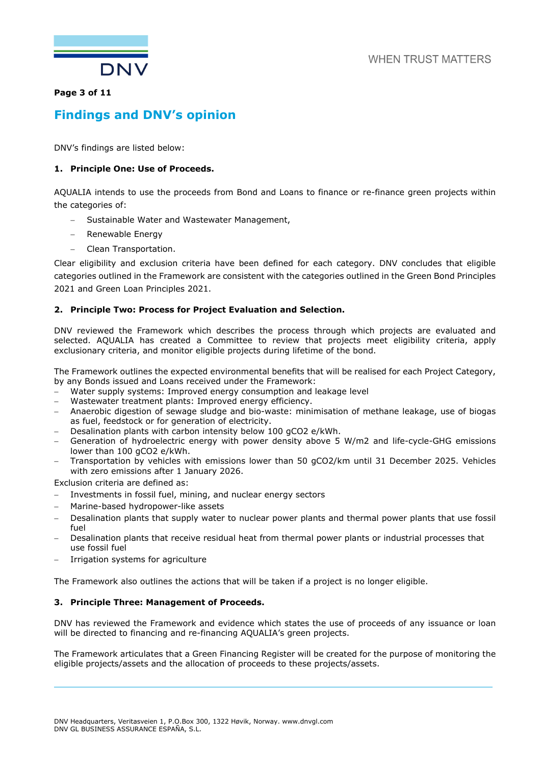

#### **Page 3 of 11**

## **Findings and DNV's opinion**

DNV's findings are listed below:

#### **1. Principle One: Use of Proceeds.**

AQUALIA intends to use the proceeds from Bond and Loans to finance or re-finance green projects within the categories of:

- Sustainable Water and Wastewater Management,
- Renewable Energy
- Clean Transportation.

Clear eligibility and exclusion criteria have been defined for each category. DNV concludes that eligible categories outlined in the Framework are consistent with the categories outlined in the Green Bond Principles 2021 and Green Loan Principles 2021.

### **2. Principle Two: Process for Project Evaluation and Selection.**

DNV reviewed the Framework which describes the process through which projects are evaluated and selected. AQUALIA has created a Committee to review that projects meet eligibility criteria, apply exclusionary criteria, and monitor eligible projects during lifetime of the bond.

The Framework outlines the expected environmental benefits that will be realised for each Project Category, by any Bonds issued and Loans received under the Framework:

- Water supply systems: Improved energy consumption and leakage level
- Wastewater treatment plants: Improved energy efficiency.
- Anaerobic digestion of sewage sludge and bio-waste: minimisation of methane leakage, use of biogas as fuel, feedstock or for generation of electricity.
- Desalination plants with carbon intensity below 100 qCO2 e/kWh.
- Generation of hydroelectric energy with power density above 5 W/m2 and life-cycle-GHG emissions lower than 100 gCO2 e/kWh.
- Transportation by vehicles with emissions lower than 50 gCO2/km until 31 December 2025. Vehicles with zero emissions after 1 January 2026.

Exclusion criteria are defined as:

- Investments in fossil fuel, mining, and nuclear energy sectors
- Marine-based hydropower-like assets
- Desalination plants that supply water to nuclear power plants and thermal power plants that use fossil fuel
- Desalination plants that receive residual heat from thermal power plants or industrial processes that use fossil fuel
- Irrigation systems for agriculture

The Framework also outlines the actions that will be taken if a project is no longer eligible.

#### **3. Principle Three: Management of Proceeds.**

DNV has reviewed the Framework and evidence which states the use of proceeds of any issuance or loan will be directed to financing and re-financing AQUALIA's green projects.

The Framework articulates that a Green Financing Register will be created for the purpose of monitoring the eligible projects/assets and the allocation of proceeds to these projects/assets.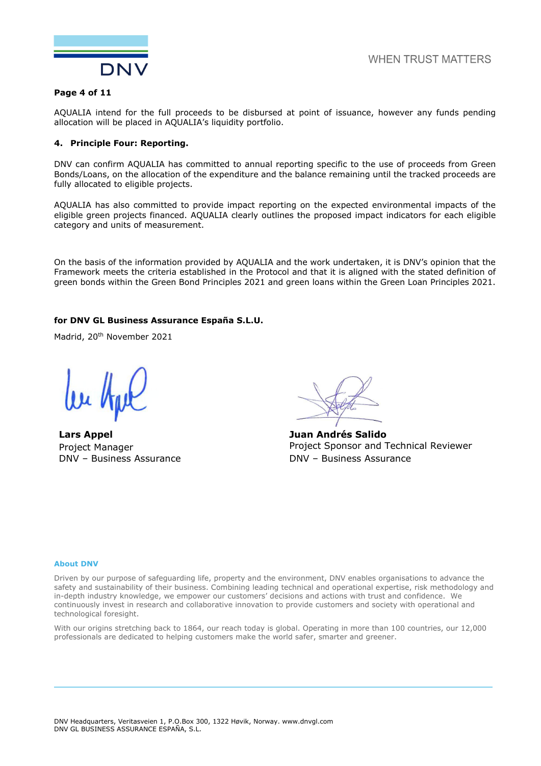

#### **Page 4 of 11**

AQUALIA intend for the full proceeds to be disbursed at point of issuance, however any funds pending allocation will be placed in AQUALIA's liquidity portfolio.

#### **4. Principle Four: Reporting.**

DNV can confirm AQUALIA has committed to annual reporting specific to the use of proceeds from Green Bonds/Loans, on the allocation of the expenditure and the balance remaining until the tracked proceeds are fully allocated to eligible projects.

AQUALIA has also committed to provide impact reporting on the expected environmental impacts of the eligible green projects financed. AQUALIA clearly outlines the proposed impact indicators for each eligible category and units of measurement.

On the basis of the information provided by AQUALIA and the work undertaken, it is DNV's opinion that the Framework meets the criteria established in the Protocol and that it is aligned with the stated definition of green bonds within the Green Bond Principles 2021 and green loans within the Green Loan Principles 2021.

#### **for DNV GL Business Assurance España S.L.U.**

Madrid, 20<sup>th</sup> November 2021

**Lars Appel** Project Manager DNV – Business Assurance

**Juan Andrés Salido**  Project Sponsor and Technical Reviewer DNV – Business Assurance

#### **About DNV**

Driven by our purpose of safeguarding life, property and the environment, DNV enables organisations to advance the safety and sustainability of their business. Combining leading technical and operational expertise, risk methodology and in-depth industry knowledge, we empower our customers' decisions and actions with trust and confidence. We continuously invest in research and collaborative innovation to provide customers and society with operational and technological foresight.

With our origins stretching back to 1864, our reach today is global. Operating in more than 100 countries, our 12,000 professionals are dedicated to helping customers make the world safer, smarter and greener.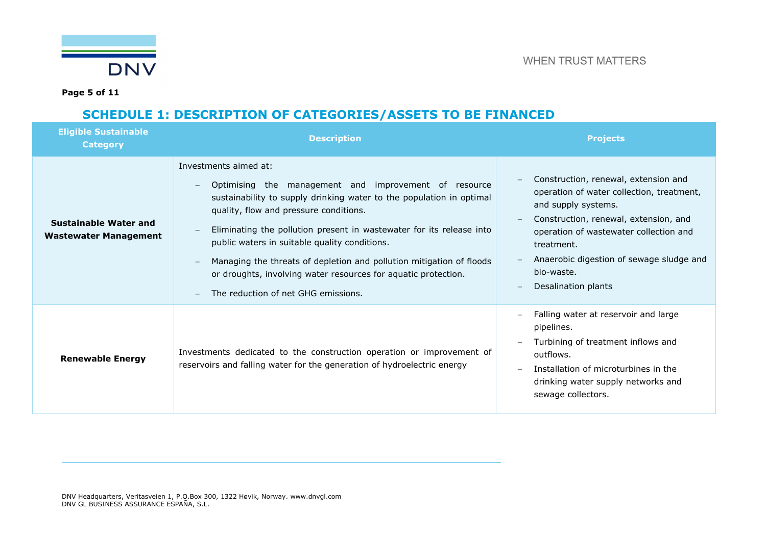

**Page 5 of 11** 

## **SCHEDULE 1: DESCRIPTION OF CATEGORIES/ASSETS TO BE FINANCED**

| <b>Eligible Sustainable</b><br><b>Category</b>               | <b>Description</b>                                                                                                                                                                                                                                                                                                                                                                                                                                                                                                                     | <b>Projects</b>                                                                                                                                                                                                                                                                            |
|--------------------------------------------------------------|----------------------------------------------------------------------------------------------------------------------------------------------------------------------------------------------------------------------------------------------------------------------------------------------------------------------------------------------------------------------------------------------------------------------------------------------------------------------------------------------------------------------------------------|--------------------------------------------------------------------------------------------------------------------------------------------------------------------------------------------------------------------------------------------------------------------------------------------|
| <b>Sustainable Water and</b><br><b>Wastewater Management</b> | Investments aimed at:<br>Optimising the management and improvement of resource<br>$\overline{\phantom{m}}$<br>sustainability to supply drinking water to the population in optimal<br>quality, flow and pressure conditions.<br>Eliminating the pollution present in wastewater for its release into<br>public waters in suitable quality conditions.<br>Managing the threats of depletion and pollution mitigation of floods<br>or droughts, involving water resources for aquatic protection.<br>The reduction of net GHG emissions. | Construction, renewal, extension and<br>operation of water collection, treatment,<br>and supply systems.<br>Construction, renewal, extension, and<br>operation of wastewater collection and<br>treatment.<br>Anaerobic digestion of sewage sludge and<br>bio-waste.<br>Desalination plants |
| <b>Renewable Energy</b>                                      | Investments dedicated to the construction operation or improvement of<br>reservoirs and falling water for the generation of hydroelectric energy                                                                                                                                                                                                                                                                                                                                                                                       | Falling water at reservoir and large<br>pipelines.<br>Turbining of treatment inflows and<br>outflows.<br>Installation of microturbines in the<br>drinking water supply networks and<br>sewage collectors.                                                                                  |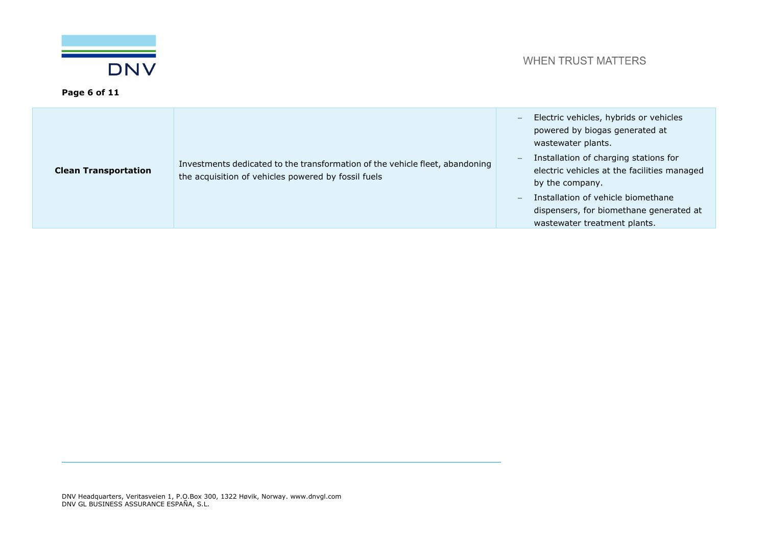

| <b>Clean Transportation</b> | Investments dedicated to the transformation of the vehicle fleet, abandoning<br>the acquisition of vehicles powered by fossil fuels | Electric vehicles, hybrids or vehicles<br>$-$<br>powered by biogas generated at<br>wastewater plants.<br>Installation of charging stations for<br>$\qquad \qquad -$<br>electric vehicles at the facilities managed<br>by the company.<br>Installation of vehicle biomethane<br>$\qquad \qquad -$<br>dispensers, for biomethane generated at<br>wastewater treatment plants. |
|-----------------------------|-------------------------------------------------------------------------------------------------------------------------------------|-----------------------------------------------------------------------------------------------------------------------------------------------------------------------------------------------------------------------------------------------------------------------------------------------------------------------------------------------------------------------------|
|-----------------------------|-------------------------------------------------------------------------------------------------------------------------------------|-----------------------------------------------------------------------------------------------------------------------------------------------------------------------------------------------------------------------------------------------------------------------------------------------------------------------------------------------------------------------------|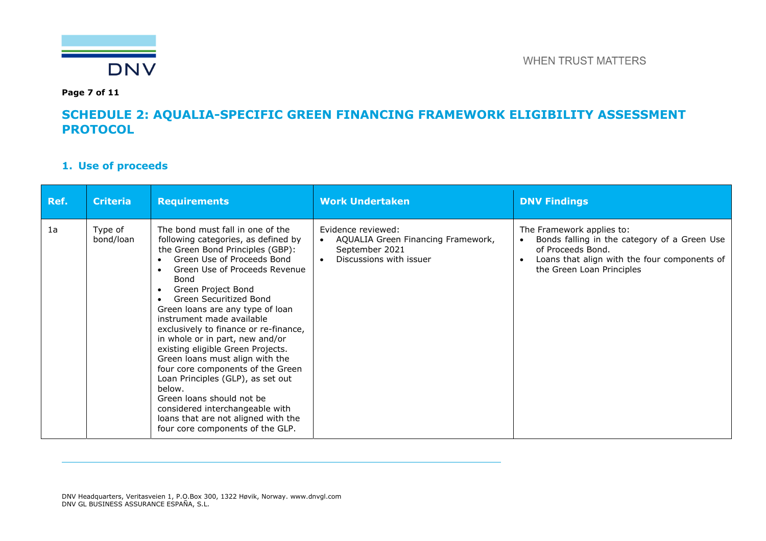

**Page 7 of 11** 

### **SCHEDULE 2: AQUALIA-SPECIFIC GREEN FINANCING FRAMEWORK ELIGIBILITY ASSESSMENT PROTOCOL**

### **1. Use of proceeds**

| Ref. | <b>Criteria</b>      | <b>Requirements</b>                                                                                                                                                                                                                                                                                                                                                                                                                                                                                                                                                                                                                                                                    | <b>Work Undertaken</b>                                                                                | <b>DNV Findings</b>                                                                                                                                                         |
|------|----------------------|----------------------------------------------------------------------------------------------------------------------------------------------------------------------------------------------------------------------------------------------------------------------------------------------------------------------------------------------------------------------------------------------------------------------------------------------------------------------------------------------------------------------------------------------------------------------------------------------------------------------------------------------------------------------------------------|-------------------------------------------------------------------------------------------------------|-----------------------------------------------------------------------------------------------------------------------------------------------------------------------------|
| 1a   | Type of<br>bond/loan | The bond must fall in one of the<br>following categories, as defined by<br>the Green Bond Principles (GBP):<br>Green Use of Proceeds Bond<br>Green Use of Proceeds Revenue<br>Bond<br>Green Project Bond<br>Green Securitized Bond<br>Green loans are any type of loan<br>instrument made available<br>exclusively to finance or re-finance,<br>in whole or in part, new and/or<br>existing eligible Green Projects.<br>Green loans must align with the<br>four core components of the Green<br>Loan Principles (GLP), as set out<br>below.<br>Green loans should not be<br>considered interchangeable with<br>loans that are not aligned with the<br>four core components of the GLP. | Evidence reviewed:<br>AQUALIA Green Financing Framework,<br>September 2021<br>Discussions with issuer | The Framework applies to:<br>Bonds falling in the category of a Green Use<br>of Proceeds Bond.<br>Loans that align with the four components of<br>the Green Loan Principles |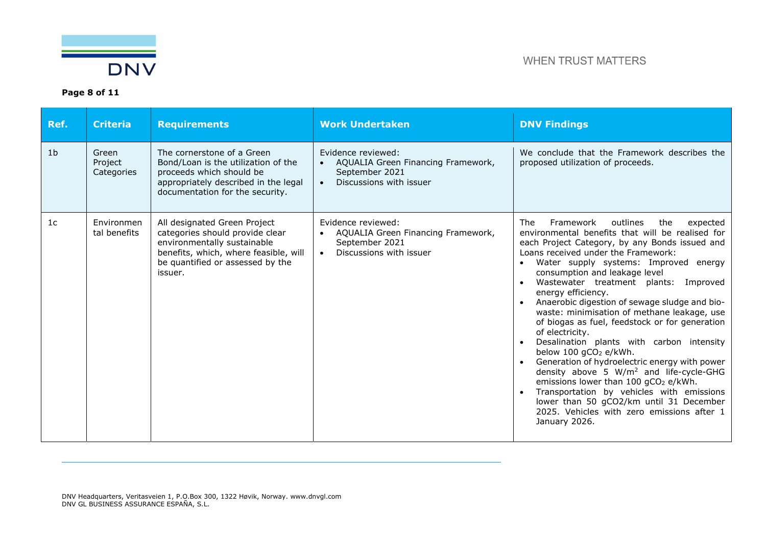

| Ref.           | <b>Criteria</b>                | <b>Requirements</b>                                                                                                                                                                    | <b>Work Undertaken</b>                                                                                             | <b>DNV Findings</b>                                                                                                                                                                                                                                                                                                                                                                                                                                                                                                                                                                                                                                                                                                                                                                                                                                                                                             |
|----------------|--------------------------------|----------------------------------------------------------------------------------------------------------------------------------------------------------------------------------------|--------------------------------------------------------------------------------------------------------------------|-----------------------------------------------------------------------------------------------------------------------------------------------------------------------------------------------------------------------------------------------------------------------------------------------------------------------------------------------------------------------------------------------------------------------------------------------------------------------------------------------------------------------------------------------------------------------------------------------------------------------------------------------------------------------------------------------------------------------------------------------------------------------------------------------------------------------------------------------------------------------------------------------------------------|
| 1 <sub>b</sub> | Green<br>Project<br>Categories | The cornerstone of a Green<br>Bond/Loan is the utilization of the<br>proceeds which should be<br>appropriately described in the legal<br>documentation for the security.               | Evidence reviewed:<br>AQUALIA Green Financing Framework,<br>September 2021<br>Discussions with issuer<br>$\bullet$ | We conclude that the Framework describes the<br>proposed utilization of proceeds.                                                                                                                                                                                                                                                                                                                                                                                                                                                                                                                                                                                                                                                                                                                                                                                                                               |
| 1 <sub>c</sub> | Environmen<br>tal benefits     | All designated Green Project<br>categories should provide clear<br>environmentally sustainable<br>benefits, which, where feasible, will<br>be quantified or assessed by the<br>issuer. | Evidence reviewed:<br>AQUALIA Green Financing Framework,<br>September 2021<br>Discussions with issuer              | Framework<br>outlines<br>The<br>the<br>expected<br>environmental benefits that will be realised for<br>each Project Category, by any Bonds issued and<br>Loans received under the Framework:<br>Water supply systems: Improved energy<br>consumption and leakage level<br>Wastewater treatment plants: Improved<br>energy efficiency.<br>Anaerobic digestion of sewage sludge and bio-<br>waste: minimisation of methane leakage, use<br>of biogas as fuel, feedstock or for generation<br>of electricity.<br>Desalination plants with carbon intensity<br>below 100 gCO <sub>2</sub> e/kWh.<br>Generation of hydroelectric energy with power<br>density above 5 W/m <sup>2</sup> and life-cycle-GHG<br>emissions lower than 100 gCO <sub>2</sub> e/kWh.<br>Transportation by vehicles with emissions<br>lower than 50 gCO2/km until 31 December<br>2025. Vehicles with zero emissions after 1<br>January 2026. |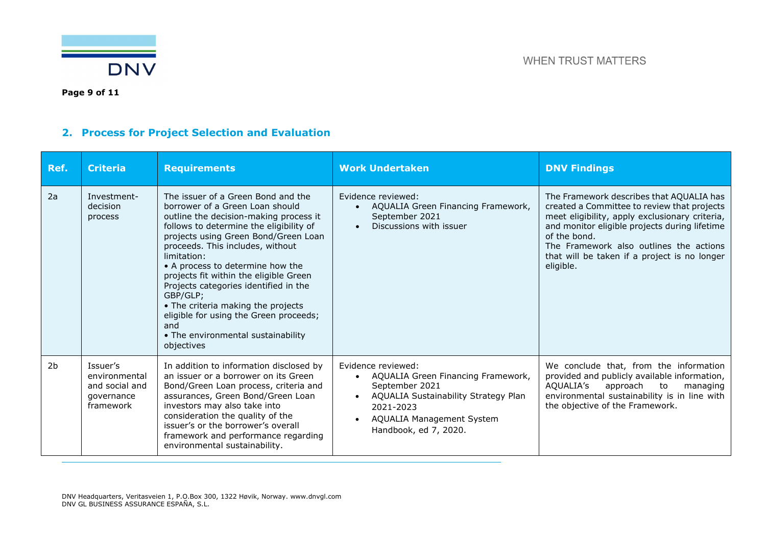

**Page 9 of 11** 

## **2. Process for Project Selection and Evaluation**

| Ref.           | <b>Criteria</b>                                                        | <b>Requirements</b>                                                                                                                                                                                                                                                                                                                                                                                                                                                                                                                 | <b>Work Undertaken</b>                                                                                                                                                                             | <b>DNV Findings</b>                                                                                                                                                                                                                                                                                                |
|----------------|------------------------------------------------------------------------|-------------------------------------------------------------------------------------------------------------------------------------------------------------------------------------------------------------------------------------------------------------------------------------------------------------------------------------------------------------------------------------------------------------------------------------------------------------------------------------------------------------------------------------|----------------------------------------------------------------------------------------------------------------------------------------------------------------------------------------------------|--------------------------------------------------------------------------------------------------------------------------------------------------------------------------------------------------------------------------------------------------------------------------------------------------------------------|
| 2a             | Investment-<br>decision<br>process                                     | The issuer of a Green Bond and the<br>borrower of a Green Loan should<br>outline the decision-making process it<br>follows to determine the eligibility of<br>projects using Green Bond/Green Loan<br>proceeds. This includes, without<br>limitation:<br>• A process to determine how the<br>projects fit within the eligible Green<br>Projects categories identified in the<br>GBP/GLP;<br>• The criteria making the projects<br>eligible for using the Green proceeds;<br>and<br>• The environmental sustainability<br>objectives | Evidence reviewed:<br>AQUALIA Green Financing Framework,<br>September 2021<br>Discussions with issuer                                                                                              | The Framework describes that AQUALIA has<br>created a Committee to review that projects<br>meet eligibility, apply exclusionary criteria,<br>and monitor eligible projects during lifetime<br>of the bond.<br>The Framework also outlines the actions<br>that will be taken if a project is no longer<br>eligible. |
| 2 <sub>b</sub> | Issuer's<br>environmental<br>and social and<br>governance<br>framework | In addition to information disclosed by<br>an issuer or a borrower on its Green<br>Bond/Green Loan process, criteria and<br>assurances, Green Bond/Green Loan<br>investors may also take into<br>consideration the quality of the<br>issuer's or the borrower's overall<br>framework and performance regarding<br>environmental sustainability.                                                                                                                                                                                     | Evidence reviewed:<br>AQUALIA Green Financing Framework,<br>September 2021<br>AQUALIA Sustainability Strategy Plan<br>2021-2023<br>AQUALIA Management System<br>$\bullet$<br>Handbook, ed 7, 2020. | We conclude that, from the information<br>provided and publicly available information,<br>AQUALIA's<br>approach to<br>managing<br>environmental sustainability is in line with<br>the objective of the Framework.                                                                                                  |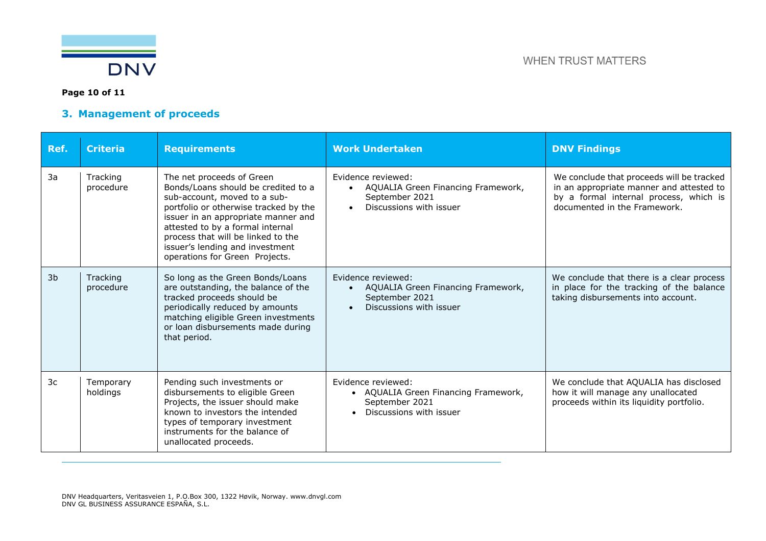

### **Page 10 of 11**

### **3. Management of proceeds**

| Ref. | <b>Criteria</b>       | <b>Requirements</b>                                                                                                                                                                                                                                                                                                             | <b>Work Undertaken</b>                                                                                  | <b>DNV Findings</b>                                                                                                                                             |
|------|-----------------------|---------------------------------------------------------------------------------------------------------------------------------------------------------------------------------------------------------------------------------------------------------------------------------------------------------------------------------|---------------------------------------------------------------------------------------------------------|-----------------------------------------------------------------------------------------------------------------------------------------------------------------|
| 3a   | Tracking<br>procedure | The net proceeds of Green<br>Bonds/Loans should be credited to a<br>sub-account, moved to a sub-<br>portfolio or otherwise tracked by the<br>issuer in an appropriate manner and<br>attested to by a formal internal<br>process that will be linked to the<br>issuer's lending and investment<br>operations for Green Projects. | Evidence reviewed:<br>AQUALIA Green Financing Framework,<br>September 2021<br>Discussions with issuer   | We conclude that proceeds will be tracked<br>in an appropriate manner and attested to<br>by a formal internal process, which is<br>documented in the Framework. |
| 3b   | Tracking<br>procedure | So long as the Green Bonds/Loans<br>are outstanding, the balance of the<br>tracked proceeds should be<br>periodically reduced by amounts<br>matching eligible Green investments<br>or loan disbursements made during<br>that period.                                                                                            | Evidence reviewed:<br>AQUALIA Green Financing Framework,<br>September 2021<br>Discussions with issuer   | We conclude that there is a clear process<br>in place for the tracking of the balance<br>taking disbursements into account.                                     |
| 3c   | Temporary<br>holdings | Pending such investments or<br>disbursements to eligible Green<br>Projects, the issuer should make<br>known to investors the intended<br>types of temporary investment<br>instruments for the balance of<br>unallocated proceeds.                                                                                               | Evidence reviewed:<br>• AQUALIA Green Financing Framework,<br>September 2021<br>Discussions with issuer | We conclude that AQUALIA has disclosed<br>how it will manage any unallocated<br>proceeds within its liquidity portfolio.                                        |